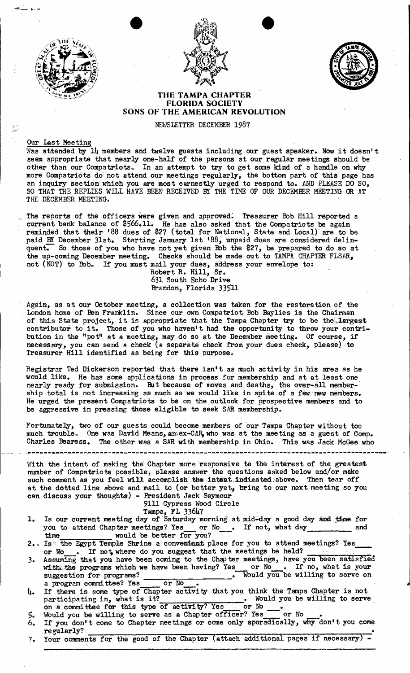



•



## THE TAMPA CHAPTER FLORIDA SOCIETY SONS OF THE AMERICAN REVOLUTION

NEWSLETTER DECEMBER 1987

## Our Last Meeting

Was attended by 14 members and twelve guests including our guest speaker. Now it doesn't seem appropriate that nearly one-half of the persons at our regular meetings should be other than our Compatriots. In an attempt to try to get some kind of a handle on why more Compatriots do not attend our meetings regularly, the bottom part of this page has an inquiry section which you are most earnestly urged to respond to. AND PLEASE DO SO, SO THAT THE REPLIES WILL HAVE BEEN RECEIVED BY THE TIME OF OUR DECEMBER MEETING OR AT THE DECEMBER MEETING.

The reports of the officers were given and approved. Treasurer Bob Hill reported a current bank balance of \$566.11. He has also asked that the Compatriots be again reminded that their '88 dues of \$27 (total for National, State and Local) are to be paid BY December 31st. Starting January 1st '88, unpaid dues are considered delin-<br>quent. So those of you who have not yet given Bob the \$27, be prepared to do so at the up-coming December meeting. Checks should be made out to TAMPA CHAPTER FLSAR, not (NOT) to Bob. If you must mail your dues, address your envelope to:

Robert R. Hill, Sr. 631 South Echo Drive Brandon, Florida 33511

Again, as at our October meeting, a collection was taken for the restoration of the London home of Ben Franklin. Since our own Compatriot Bob Baylies is the Chairman of this State project, it is appropriate that the Tampa Chapter try to be the largest contributor to it. Those of you who haven't had the opportunity to throw your contribution in the "pot" at a meeting, may do so at the December meeting. Of course, if necessary, you can send a check (a separate check from your dues check, please) to Treasurer Hill identified as being for this purpose ..

Registrar Ted Dickerson reported that there isn't as much activity in his area as he would like. He has some applications in process for membership and at at least one nearly ready for submission. But because of moves and deaths, the over-all membership total is not increasing as much as we would like in spite of a few new members. He urged the present Compatriots to be on the, outlook for prospective members and to be aggressive in pressing those eligible to seek SAR membership.

Fortunately, two of our guests could become members of our Tampa Chapter without too much trouble. One was David Means, an; ex-CAR, who was at the meeting as a guest of Comp. Charles Bearess. The other was a SAR with membership in Ohio. This was Jack McGee who

--------.=.--------------------------\_.--------------------.----.------\_.\_-\_..--\_.\_-\_.\_----\_.\_---\_.\_--\_.\_---------\_.\_----\_.\_

With the intent of making the Chapter more responsive to the interest of the greatest number of Compatriots possible, please answer the questions asked below and/or make<br>such comment as you feel will accomplish the intent indicated above. Then tear off at the dotted line above and mail to (or better yet, bring to our next meeting so you can discuss your thoughts) - President Jack Seymour

## 9111 Cypress Wood Circle

- 
- Tampa, FL 33647<br>1. Is our current meeting day of Saturday morning at mid-day a good day and time for you to attend Chapter meetings? Yes or No e If not, what day and time would be better for you?
- 2.. Is the Egypt Temple Shrine a convenient place for you to attend meetings? Yes Is the Egypt lemple shrine a convenient place for you to attend meetings: les
- 3. Assuming that you have been coming to the Chapter meetings, have you been satisfied Assuming that you have been coming to the Unapter meetings, have you been satisfied<br>with the programs which we have been having? Yes\_\_\_ or No\_\_\_. If no, what is your suggestion for programs? e working to serve on we willing to serve on a program committee? Yes or No • jI
- 4. If there is some type of Chapter activity that you think the Tampa Chapter is not participating in, what is it? Would you be willing to serve participating in, what is it? " Would you be willing to serve. on a committee for this type of activi-tor? Yes or No '"
- $\overline{\phantom{a}}^{\circ}$  or No 5.. Would you be willing to serve as a Chapter officer? Yes - or No \_"
- 6. If you don't come to Chapter meetings or come only sporadically, why don't you come regularly? ' regularly?<br>7. Your comments for the good of the Chapter (attach additional pages if necessary)
-